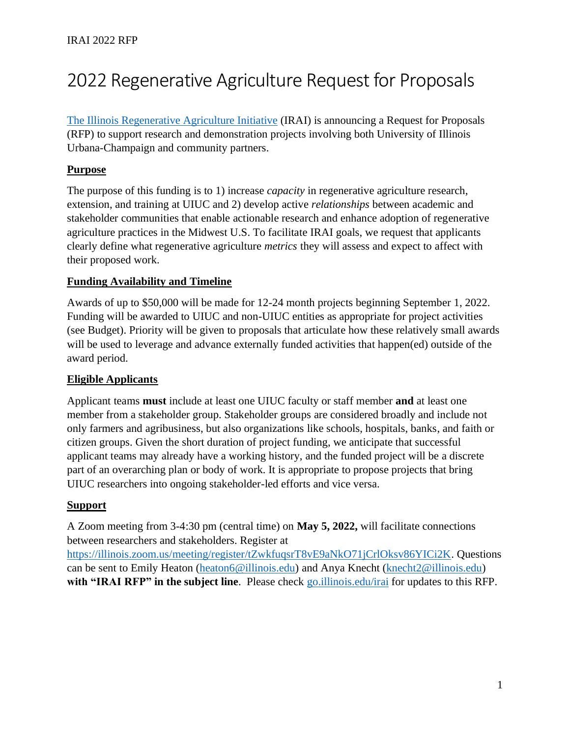# 2022 Regenerative Agriculture Request for Proposals

[The Illinois Regenerative Agriculture Initiative](https://sustainability.illinois.edu/research/illinois-regenerative-agriculture-initiative/) (IRAI) is announcing a Request for Proposals (RFP) to support research and demonstration projects involving both University of Illinois Urbana-Champaign and community partners.

## **Purpose**

The purpose of this funding is to 1) increase *capacity* in regenerative agriculture research, extension, and training at UIUC and 2) develop active *relationships* between academic and stakeholder communities that enable actionable research and enhance adoption of regenerative agriculture practices in the Midwest U.S. To facilitate IRAI goals, we request that applicants clearly define what regenerative agriculture *metrics* they will assess and expect to affect with their proposed work.

## **Funding Availability and Timeline**

Awards of up to \$50,000 will be made for 12-24 month projects beginning September 1, 2022. Funding will be awarded to UIUC and non-UIUC entities as appropriate for project activities (see Budget). Priority will be given to proposals that articulate how these relatively small awards will be used to leverage and advance externally funded activities that happen(ed) outside of the award period.

## **Eligible Applicants**

Applicant teams **must** include at least one UIUC faculty or staff member **and** at least one member from a stakeholder group. Stakeholder groups are considered broadly and include not only farmers and agribusiness, but also organizations like schools, hospitals, banks, and faith or citizen groups. Given the short duration of project funding, we anticipate that successful applicant teams may already have a working history, and the funded project will be a discrete part of an overarching plan or body of work. It is appropriate to propose projects that bring UIUC researchers into ongoing stakeholder-led efforts and vice versa.

## **Support**

A Zoom meeting from 3-4:30 pm (central time) on **May 5, 2022,** will facilitate connections between researchers and stakeholders. Register at [https://illinois.zoom.us/meeting/register/tZwkfuqsrT8vE9aNkO71jCrlOksv86YICi2K.](https://illinois.zoom.us/meeting/register/tZwkfuqsrT8vE9aNkO71jCrlOksv86YICi2K) Questions

can be sent to Emily Heaton [\(heaton6@illinois.edu\)](mailto:heaton6@illinois.edu) and Anya Knecht [\(knecht2@illinois.edu\)](mailto:knecht2@illinois.edu) **with "IRAI RFP" in the subject line**. Please check [go.illinois.edu/irai](https://sustainability.illinois.edu/research/illinois-regenerative-agriculture-initiative/) for updates to this RFP.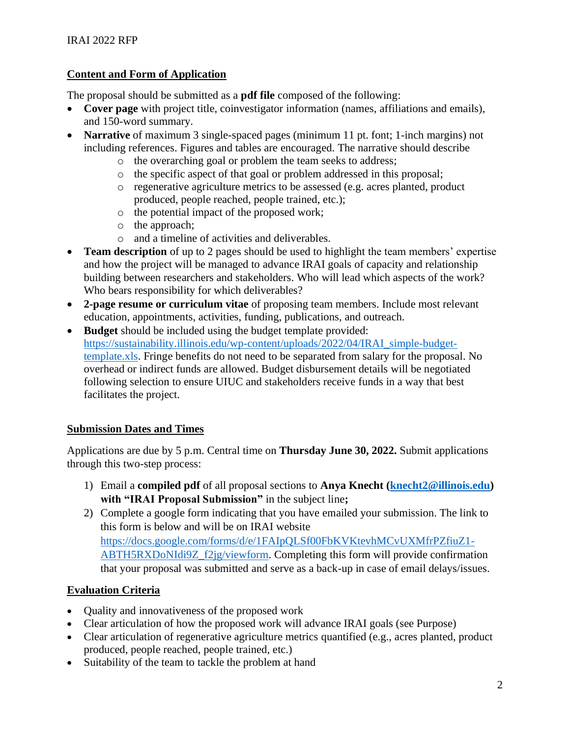## **Content and Form of Application**

The proposal should be submitted as a **pdf file** composed of the following:

- **Cover page** with project title, coinvestigator information (names, affiliations and emails), and 150-word summary.
- **Narrative** of maximum 3 single-spaced pages (minimum 11 pt. font; 1-inch margins) not including references. Figures and tables are encouraged. The narrative should describe
	- o the overarching goal or problem the team seeks to address;
	- o the specific aspect of that goal or problem addressed in this proposal;
	- o regenerative agriculture metrics to be assessed (e.g. acres planted, product produced, people reached, people trained, etc.);
	- o the potential impact of the proposed work;
	- o the approach;
	- o and a timeline of activities and deliverables.
- **Team description** of up to 2 pages should be used to highlight the team members' expertise and how the project will be managed to advance IRAI goals of capacity and relationship building between researchers and stakeholders. Who will lead which aspects of the work? Who bears responsibility for which deliverables?
- **2-page resume or curriculum vitae** of proposing team members. Include most relevant education, appointments, activities, funding, publications, and outreach.
- **Budget** should be included using the budget template provided: [https://sustainability.illinois.edu/wp-content/uploads/2022/04/IRAI\\_simple-budget](https://sustainability.illinois.edu/wp-content/uploads/2022/04/IRAI_simple-budget-template.xls)[template.xls.](https://sustainability.illinois.edu/wp-content/uploads/2022/04/IRAI_simple-budget-template.xls) Fringe benefits do not need to be separated from salary for the proposal. No overhead or indirect funds are allowed. Budget disbursement details will be negotiated following selection to ensure UIUC and stakeholders receive funds in a way that best facilitates the project.

## **Submission Dates and Times**

Applications are due by 5 p.m. Central time on **Thursday June 30, 2022.** Submit applications through this two-step process:

- 1) Email a **compiled pdf** of all proposal sections to **Anya Knecht [\(knecht2@illinois.edu\)](mailto:knecht2@illinois.edu) with "IRAI Proposal Submission"** in the subject line**;**
- 2) Complete a google form indicating that you have emailed your submission. The link to this form is below and will be on IRAI website [https://docs.google.com/forms/d/e/1FAIpQLSf00FbKVKtevhMCvUXMfrPZfiuZ1-](https://docs.google.com/forms/d/e/1FAIpQLSf00FbKVKtevhMCvUXMfrPZfiuZ1-ABTH5RXDoNIdi9Z_f2jg/viewform) [ABTH5RXDoNIdi9Z\\_f2jg/viewform.](https://docs.google.com/forms/d/e/1FAIpQLSf00FbKVKtevhMCvUXMfrPZfiuZ1-ABTH5RXDoNIdi9Z_f2jg/viewform) Completing this form will provide confirmation that your proposal was submitted and serve as a back-up in case of email delays/issues.

## **Evaluation Criteria**

- Quality and innovativeness of the proposed work
- Clear articulation of how the proposed work will advance IRAI goals (see Purpose)
- Clear articulation of regenerative agriculture metrics quantified (e.g., acres planted, product produced, people reached, people trained, etc.)
- Suitability of the team to tackle the problem at hand